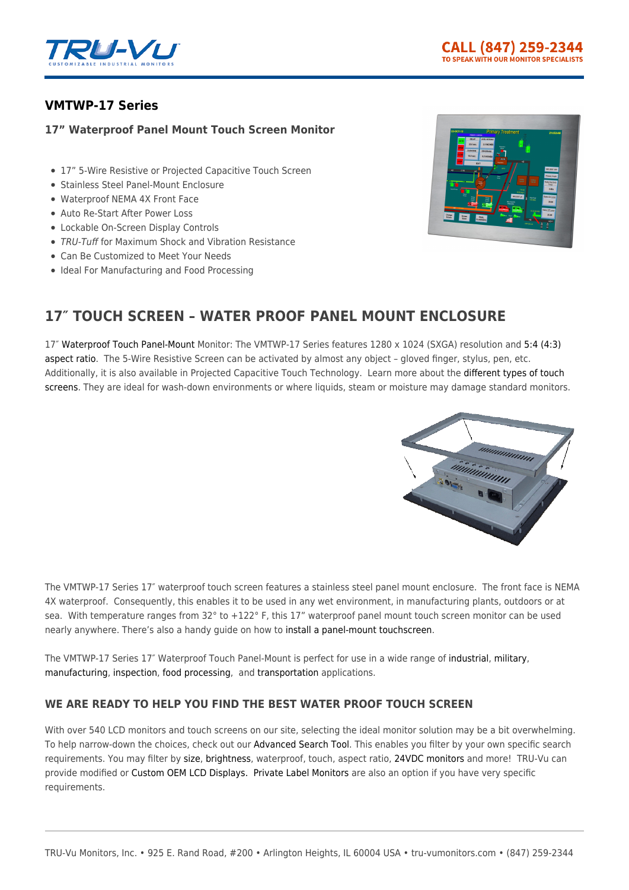

# **[VMTWP-17 Series](https://tru-vumonitors.com/products/vmtwp-17-series/)**

## **17" Waterproof Panel Mount Touch Screen Monitor**

- 17" 5-Wire Resistive or Projected Capacitive Touch Screen
- Stainless Steel Panel-Mount Enclosure
- Waterproof NEMA 4X Front Face
- Auto Re-Start After Power Loss
- Lockable On-Screen Display Controls
- TRU-Tuff for Maximum Shock and Vibration Resistance
- Can Be Customized to Meet Your Needs
- Ideal For Manufacturing and Food Processing



# **17″ TOUCH SCREEN – WATER PROOF PANEL MOUNT ENCLOSURE**

17″ [Waterproof](https://tru-vumonitors.com/waterproof-monitors/) [Touch](https://tru-vumonitors.com/touch-screen-monitors/) [Panel-Mount](https://tru-vumonitors.com/panel-mount-monitors/) Monitor: The VMTWP-17 Series features 1280 x 1024 (SXGA) resolution and [5:4 \(4:3\)](https://tru-vumonitors.com/4by3-monitors/) [aspect ratio.](https://tru-vumonitors.com/4by3-monitors/) The 5-Wire Resistive Screen can be activated by almost any object – gloved finger, stylus, pen, etc. Additionally, it is also available in Projected Capacitive Touch Technology. Learn more about the [different types of touch](https://tru-vumonitors.com/touch-screen-basics/) [screens.](https://tru-vumonitors.com/touch-screen-basics/) They are ideal for wash-down environments or where liquids, steam or moisture may damage standard monitors.



The VMTWP-17 Series 17″ waterproof touch screen features a stainless steel panel mount enclosure. The front face is NEMA 4X waterproof. Consequently, this enables it to be used in any wet environment, in manufacturing plants, outdoors or at sea. With temperature ranges from 32° to +122° F, this 17" waterproof panel mount touch screen monitor can be used nearly anywhere. There's also a handy guide on how to [install a panel-mount touchscreen.](https://tru-vumonitors.com/wp-content/uploads/2020/02/How-To-Install-a-Panel-Mount-Monitor-v0120.pdf)

The VMTWP-17 Series 17″ Waterproof Touch Panel-Mount is perfect for use in a wide range of [industrial,](https://tru-vumonitors.com/industries/industrial/) [military,](https://tru-vumonitors.com/industries/military/) [manufacturing](https://tru-vumonitors.com/industries/industrial/), [inspection,](https://tru-vumonitors.com/industries/automation-machine-vision/) [food processing](https://tru-vumonitors.com/industries/food-beverage/), and [transportation](https://tru-vumonitors.com/industries/mass-transit/) applications.

## **WE ARE READY TO HELP YOU FIND THE BEST WATER PROOF TOUCH SCREEN**

With over 540 LCD monitors and touch screens on our site, selecting the ideal monitor solution may be a bit overwhelming. To help narrow-down the choices, check out our [Advanced Search Tool.](https://tru-vumonitors.com/products/) This enables you filter by your own specific search requirements. You may filter by [size,](https://tru-vumonitors.com/13in-to-19in-monitors/) [brightness,](https://tru-vumonitors.com/standard-brightness-monitors/) waterproof, touch, aspect ratio, [24VDC monitors](https://tru-vumonitors.com/24vdc-monitors/) and more! TRU-Vu can provide modified or [Custom OEM LCD Displays.](https://tru-vumonitors.com/custom-monitors/) [Private Label Monitors](https://tru-vumonitors.com/private-label-monitors/) are also an option if you have very specific requirements.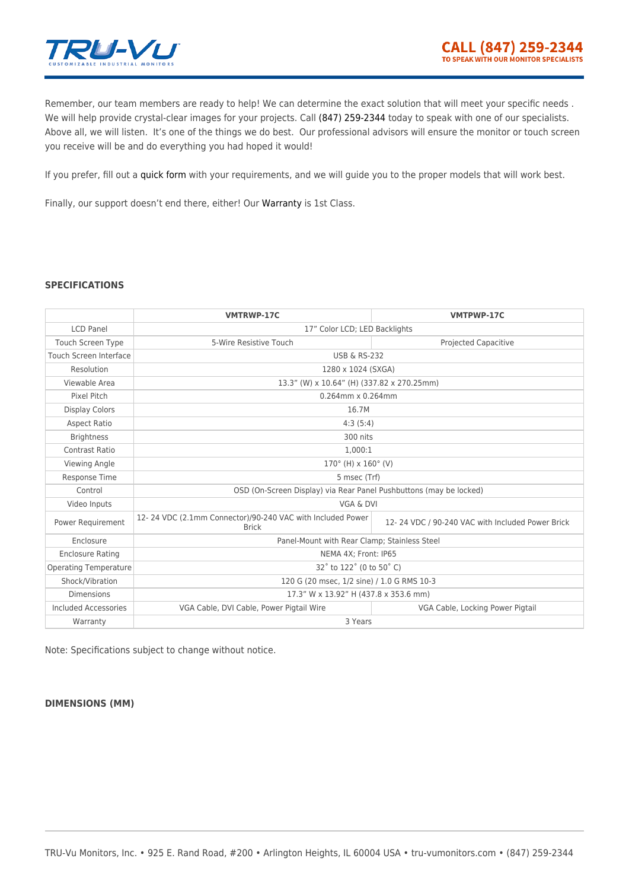

Remember, our team members are ready to help! We can determine the exact solution that will meet your specific needs. We will help provide crystal-clear images for your projects. Call [\(847\) 259-2344](#page--1-0) today to speak with one of our specialists. Above all, we will listen. It's one of the things we do best. Our professional advisors will ensure the monitor or touch screen you receive will be and do everything you had hoped it would!

If you prefer, fill out a [quick form](https://tru-vumonitors.com/request-quote/) with your requirements, and we will guide you to the proper models that will work best.

Finally, our support doesn't end there, either! Our [Warranty](https://tru-vumonitors.com/warranty-returns/) is 1st Class.

## **SPECIFICATIONS**

|                              | <b>VMTRWP-17C</b>                                                          | <b>VMTPWP-17C</b>                                |
|------------------------------|----------------------------------------------------------------------------|--------------------------------------------------|
| <b>LCD Panel</b>             | 17" Color LCD; LED Backlights                                              |                                                  |
| <b>Touch Screen Type</b>     | 5-Wire Resistive Touch                                                     | <b>Projected Capacitive</b>                      |
| Touch Screen Interface       | <b>USB &amp; RS-232</b>                                                    |                                                  |
| Resolution                   | 1280 x 1024 (SXGA)                                                         |                                                  |
| Viewable Area                | 13.3" (W) x 10.64" (H) (337.82 x 270.25mm)                                 |                                                  |
| Pixel Pitch                  | $0.264$ mm x $0.264$ mm                                                    |                                                  |
| <b>Display Colors</b>        | 16.7M                                                                      |                                                  |
| <b>Aspect Ratio</b>          | 4:3(5:4)                                                                   |                                                  |
| <b>Brightness</b>            | 300 nits                                                                   |                                                  |
| Contrast Ratio               | 1,000:1                                                                    |                                                  |
| Viewing Angle                | $170^{\circ}$ (H) x $160^{\circ}$ (V)                                      |                                                  |
| <b>Response Time</b>         | 5 msec (Trf)                                                               |                                                  |
| Control                      | OSD (On-Screen Display) via Rear Panel Pushbuttons (may be locked)         |                                                  |
| Video Inputs                 | VGA & DVI                                                                  |                                                  |
| Power Requirement            | 12-24 VDC (2.1mm Connector)/90-240 VAC with Included Power<br><b>Brick</b> | 12-24 VDC / 90-240 VAC with Included Power Brick |
| Enclosure                    | Panel-Mount with Rear Clamp; Stainless Steel                               |                                                  |
| <b>Enclosure Rating</b>      | NEMA 4X; Front: IP65                                                       |                                                  |
| <b>Operating Temperature</b> | 32° to 122° (0 to 50° C)                                                   |                                                  |
| Shock/Vibration              | 120 G (20 msec, 1/2 sine) / 1.0 G RMS 10-3                                 |                                                  |
| <b>Dimensions</b>            | 17.3" W x 13.92" H (437.8 x 353.6 mm)                                      |                                                  |
| <b>Included Accessories</b>  | VGA Cable, DVI Cable, Power Pigtail Wire                                   | VGA Cable, Locking Power Pigtail                 |
| Warranty                     | 3 Years                                                                    |                                                  |

Note: Specifications subject to change without notice.

#### **DIMENSIONS (MM)**